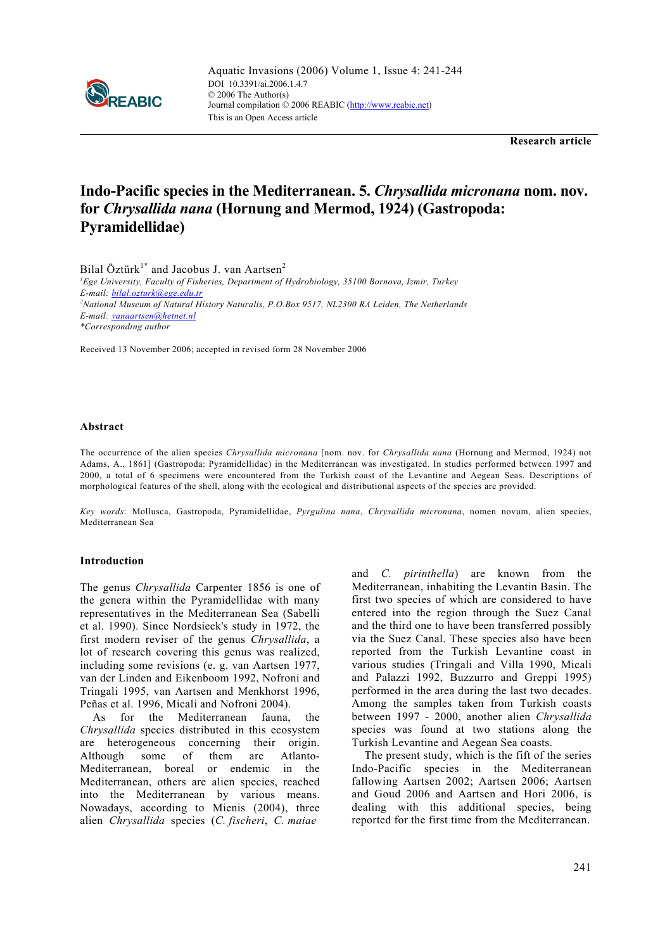

**Research article** 

# **Indo-Pacific species in the Mediterranean. 5.** *Chrysallida micronana* **nom. nov. for** *Chrysallida nana* **(Hornung and Mermod, 1924) (Gastropoda: Pyramidellidae)**

Bilal Öztürk<sup>1\*</sup> and Jacobus J. van Aartsen<sup>2</sup>

*1 Ege University, Faculty of Fisheries, Department of Hydrobiology, 35100 Bornova, Izmir, Turkey E-mail: bilal.ozturk@ege.edu.tr 2 National Museum of Natural History Naturalis, P.O.Box 9517, NL2300 RA Leiden, The Netherlands E-mail: vanaartsen@hetnet.nl \*Corresponding author* 

Received 13 November 2006; accepted in revised form 28 November 2006

## **Abstract**

The occurrence of the alien species *Chrysallida micronana* [nom. nov. for *Chrysallida nana* (Hornung and Mermod, 1924) not Adams, A., 1861] (Gastropoda: Pyramidellidae) in the Mediterranean was investigated. In studies performed between 1997 and 2000, a total of 6 specimens were encountered from the Turkish coast of the Levantine and Aegean Seas. Descriptions of morphological features of the shell, along with the ecological and distributional aspects of the species are provided.

*Key words*: Mollusca, Gastropoda, Pyramidellidae, *Pyrgulina nana*, *Chrysallida micronana*, nomen novum, alien species, Mediterranean Sea

# **Introduction**

The genus *Chrysallida* Carpenter 1856 is one of the genera within the Pyramidellidae with many representatives in the Mediterranean Sea (Sabelli et al. 1990). Since Nordsieck's study in 1972, the first modern reviser of the genus *Chrysallida*, a lot of research covering this genus was realized, including some revisions (e. g. van Aartsen 1977, van der Linden and Eikenboom 1992, Nofroni and Tringali 1995, van Aartsen and Menkhorst 1996, Peñas et al. 1996, Micali and Nofroni 2004).

As for the Mediterranean fauna, the *Chrysallida* species distributed in this ecosystem are heterogeneous concerning their origin. Although some of them are Atlanto-Mediterranean, boreal or endemic in the Mediterranean, others are alien species, reached into the Mediterranean by various means. Nowadays, according to Mienis (2004), three alien *Chrysallida* species (*C. fischeri*, *C. maiae*

and *C. pirinthella*) are known from the Mediterranean, inhabiting the Levantin Basin. The first two species of which are considered to have entered into the region through the Suez Canal and the third one to have been transferred possibly via the Suez Canal. These species also have been reported from the Turkish Levantine coast in various studies (Tringali and Villa 1990, Micali and Palazzi 1992, Buzzurro and Greppi 1995) performed in the area during the last two decades. Among the samples taken from Turkish coasts between 1997 - 2000, another alien *Chrysallida* species was found at two stations along the Turkish Levantine and Aegean Sea coasts.

The present study, which is the fift of the series Indo-Pacific species in the Mediterranean fallowing Aartsen 2002; Aartsen 2006; Aartsen and Goud 2006 and Aartsen and Hori 2006, is dealing with this additional species, being reported for the first time from the Mediterranean.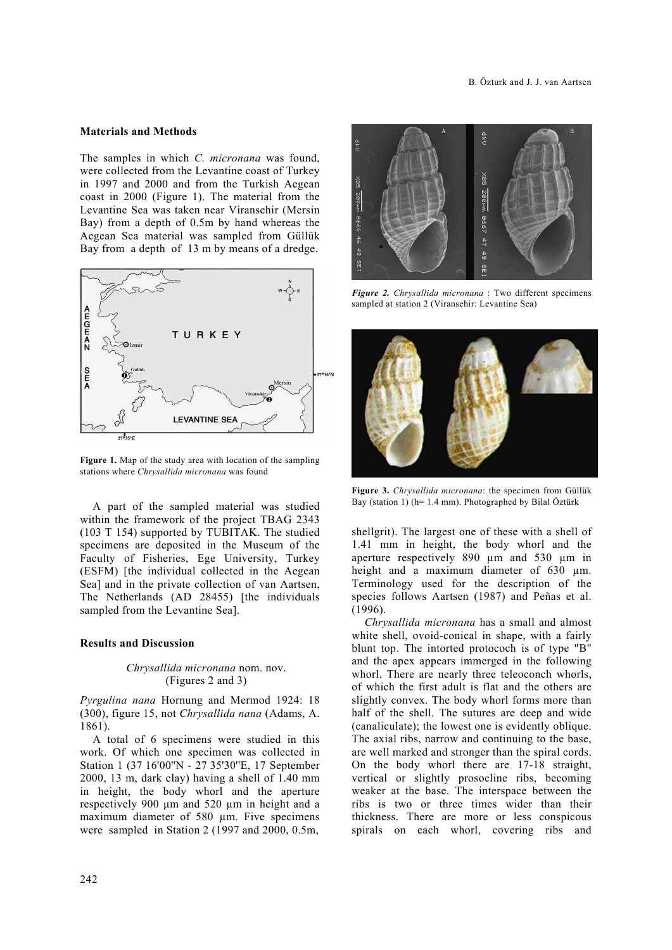# **Materials and Methods**

The samples in which *C. micronana* was found, were collected from the Levantine coast of Turkey in 1997 and 2000 and from the Turkish Aegean coast in 2000 (Figure 1). The material from the Levantine Sea was taken near Viransehir (Mersin Bay) from a depth of 0.5m by hand whereas the Aegean Sea material was sampled from Güllük Bay from a depth of 13 m by means of a dredge.



**Figure 1.** Map of the study area with location of the sampling stations where *Chrysallida micronana* was found

A part of the sampled material was studied within the framework of the project TBAG 2343 (103 T 154) supported by TUBITAK. The studied specimens are deposited in the Museum of the Faculty of Fisheries, Ege University, Turkey (ESFM) [the individual collected in the Aegean Sea] and in the private collection of van Aartsen, The Netherlands (AD 28455) [the individuals sampled from the Levantine Sea].

#### **Results and Discussion**

## *Chrysallida micronana* nom. nov. (Figures 2 and 3)

*Pyrgulina nana* Hornung and Mermod 1924: 18 (300), figure 15, not *Chrysallida nana* (Adams, A. 1861).

A total of 6 specimens were studied in this work. Of which one specimen was collected in Station 1 (37 16'00''N - 27 35'30''E, 17 September 2000, 13 m, dark clay) having a shell of 1.40 mm in height, the body whorl and the aperture respectively 900 µm and 520 µm in height and a maximum diameter of 580 um. Five specimens were sampled in Station 2 (1997 and 2000, 0.5m,



*Figure 2. Chrysallida micronana* : Two different specimens sampled at station 2 (Viransehir: Levantine Sea)



**Figure 3.** *Chrysallida micronana*: the specimen from Güllük Bay (station 1) (h= 1.4 mm). Photographed by Bilal Öztürk

shellgrit). The largest one of these with a shell of 1.41 mm in height, the body whorl and the aperture respectively 890 µm and 530 µm in height and a maximum diameter of 630  $\mu$ m. Terminology used for the description of the species follows Aartsen (1987) and Peñas et al. (1996).

*Chrysallida micronana* has a small and almost white shell, ovoid-conical in shape, with a fairly blunt top. The intorted protococh is of type "B" and the apex appears immerged in the following whorl. There are nearly three teleoconch whorls, of which the first adult is flat and the others are slightly convex. The body whorl forms more than half of the shell. The sutures are deep and wide (canaliculate); the lowest one is evidently oblique. The axial ribs, narrow and continuing to the base, are well marked and stronger than the spiral cords. On the body whorl there are 17-18 straight, vertical or slightly prosocline ribs, becoming weaker at the base. The interspace between the ribs is two or three times wider than their thickness. There are more or less conspicous spirals on each whorl, covering ribs and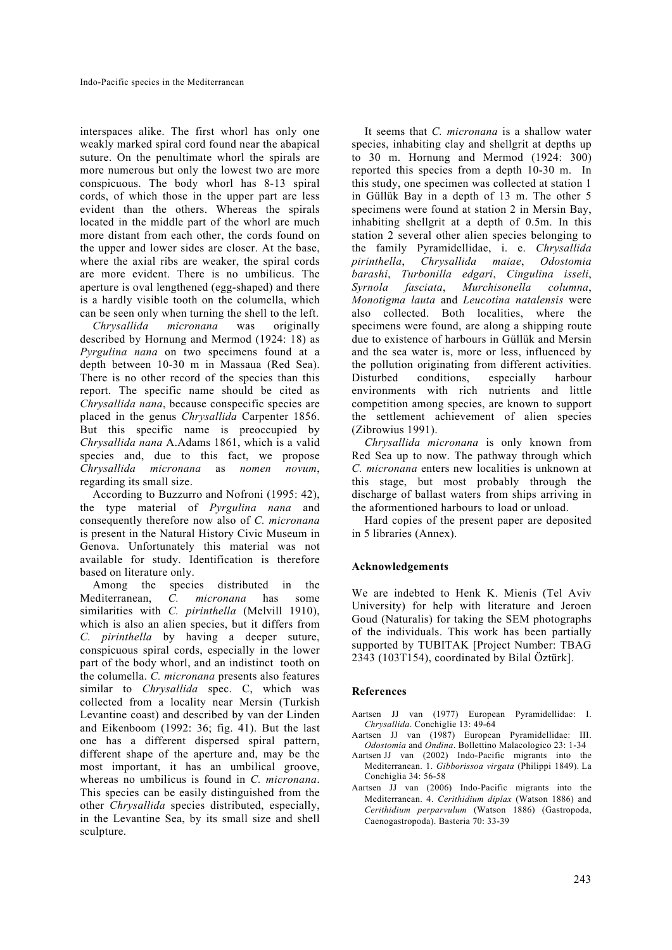interspaces alike. The first whorl has only one weakly marked spiral cord found near the abapical suture. On the penultimate whorl the spirals are more numerous but only the lowest two are more conspicuous. The body whorl has 8-13 spiral cords, of which those in the upper part are less evident than the others. Whereas the spirals located in the middle part of the whorl are much more distant from each other, the cords found on the upper and lower sides are closer. At the base, where the axial ribs are weaker, the spiral cords are more evident. There is no umbilicus. The aperture is oval lengthened (egg-shaped) and there is a hardly visible tooth on the columella, which can be seen only when turning the shell to the left.

*Chrysallida micronana* was originally described by Hornung and Mermod (1924: 18) as *Pyrgulina nana* on two specimens found at a depth between 10-30 m in Massaua (Red Sea). There is no other record of the species than this report. The specific name should be cited as *Chrysallida nana*, because conspecific species are placed in the genus *Chrysallida* Carpenter 1856. But this specific name is preoccupied by *Chrysallida nana* A.Adams 1861, which is a valid species and, due to this fact, we propose *Chrysallida micronana* as *nomen novum*, regarding its small size.

According to Buzzurro and Nofroni (1995: 42), the type material of *Pyrgulina nana* and consequently therefore now also of *C. micronana* is present in the Natural History Civic Museum in Genova. Unfortunately this material was not available for study. Identification is therefore based on literature only.

Among the species distributed in the Mediterranean, *C. micronana* has some similarities with *C. pirinthella* (Melvill 1910), which is also an alien species, but it differs from *C. pirinthella* by having a deeper suture, conspicuous spiral cords, especially in the lower part of the body whorl, and an indistinct tooth on the columella. *C. micronana* presents also features similar to *Chrysallida* spec. C, which was collected from a locality near Mersin (Turkish Levantine coast) and described by van der Linden and Eikenboom (1992: 36; fig. 41). But the last one has a different dispersed spiral pattern, different shape of the aperture and, may be the most important, it has an umbilical groove, whereas no umbilicus is found in *C. micronana*. This species can be easily distinguished from the other *Chrysallida* species distributed, especially, in the Levantine Sea, by its small size and shell sculpture.

It seems that *C. micronana* is a shallow water species, inhabiting clay and shellgrit at depths up to 30 m. Hornung and Mermod (1924: 300) reported this species from a depth 10-30 m. In this study, one specimen was collected at station 1 in Güllük Bay in a depth of 13 m. The other 5 specimens were found at station 2 in Mersin Bay, inhabiting shellgrit at a depth of 0.5m. In this station 2 several other alien species belonging to the family Pyramidellidae, i. e. *Chrysallida pirinthella*, *Chrysallida maiae*, *Odostomia barashi*, *Turbonilla edgari*, *Cingulina isseli*, *Syrnola fasciata*, *Murchisonella columna*, *Monotigma lauta* and *Leucotina natalensis* were also collected. Both localities, where the specimens were found, are along a shipping route due to existence of harbours in Güllük and Mersin and the sea water is, more or less, influenced by the pollution originating from different activities. Disturbed conditions, especially harbour environments with rich nutrients and little competition among species, are known to support the settlement achievement of alien species (Zibrowius 1991).

*Chrysallida micronana* is only known from Red Sea up to now. The pathway through which *C. micronana* enters new localities is unknown at this stage, but most probably through the discharge of ballast waters from ships arriving in the aformentioned harbours to load or unload.

Hard copies of the present paper are deposited in 5 libraries (Annex).

# **Acknowledgements**

We are indebted to Henk K. Mienis (Tel Aviv University) for help with literature and Jeroen Goud (Naturalis) for taking the SEM photographs of the individuals. This work has been partially supported by TUBITAK [Project Number: TBAG 2343 (103T154), coordinated by Bilal Öztürk].

## **References**

- Aartsen JJ van (1977) European Pyramidellidae: I. *Chrysallida*. Conchiglie 13: 49-64
- Aartsen JJ van (1987) European Pyramidellidae: III. *Odostomia* and *Ondina*. Bollettino Malacologico 23: 1-34
- Aartsen JJ van (2002) Indo-Pacific migrants into the Mediterranean. 1. *Gibborissoa virgata* (Philippi 1849). La Conchiglia 34: 56-58
- Aartsen JJ van (2006) Indo-Pacific migrants into the Mediterranean. 4. *Cerithidium diplax* (Watson 1886) and *Cerithidium perparvulum* (Watson 1886) (Gastropoda, Caenogastropoda). Basteria 70: 33-39